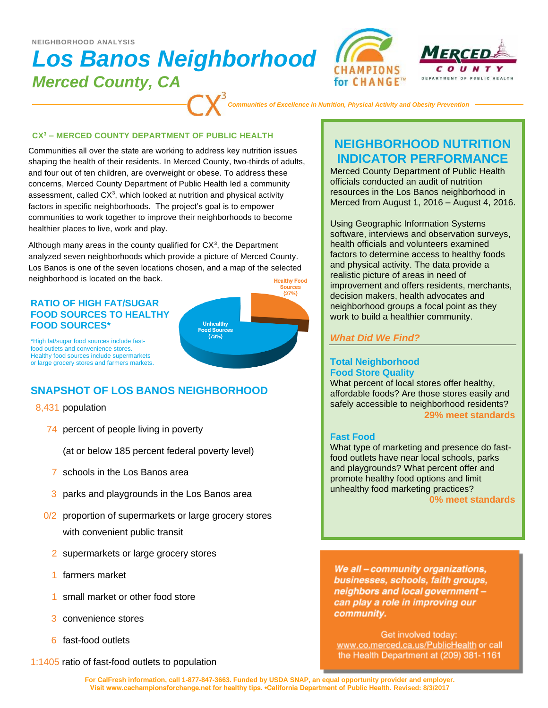#### **NEIGHBORHOOD ANALYSIS**

# *Los Banos Neighborhood Merced County, CA*



*Communities of Excellence in Nutrition, Physical Activity and Obesity Prevention*

#### **CX<sup>3</sup> – MERCED COUNTY DEPARTMENT OF PUBLIC HEALTH**

Communities all over the state are working to address key nutrition issues shaping the health of their residents. In Merced County, two-thirds of adults, and four out of ten children, are overweight or obese. To address these concerns, Merced County Department of Public Health led a community assessment, called  $CX<sup>3</sup>$ , which looked at nutrition and physical activity factors in specific neighborhoods. The project's goal is to empower communities to work together to improve their neighborhoods to become healthier places to live, work and play.

Although many areas in the county qualified for  $CX<sup>3</sup>$ , the Department analyzed seven neighborhoods which provide a picture of Merced County. Los Banos is one of the seven locations chosen, and a map of the selected neighborhood is located on the back. **Healthy Food** 

### **RATIO OF HIGH FAT/SUGAR FOOD SOURCES TO HEALTHY FOOD SOURCES\***



\*High fat/sugar food sources include fastfood outlets and convenience stores. Healthy food sources include supermarkets or large grocery stores and farmers markets.

# **SNAPSHOT OF LOS BANOS NEIGHBORHOOD**

#### 8,431 population

74 percent of people living in poverty

(at or below 185 percent federal poverty level)

- 7 schools in the Los Banos area
- 3 parks and playgrounds in the Los Banos area
- 0/2 proportion of supermarkets or large grocery stores with convenient public transit
	- 2 supermarkets or large grocery stores
	- 1 farmers market
	- 1 small market or other food store
	- 3 convenience stores
	- 6 fast-food outlets

1:1405 ratio of fast-food outlets to population

# **NEIGHBORHOOD NUTRITION INDICATOR PERFORMANCE**

Merced County Department of Public Health officials conducted an audit of nutrition resources in the Los Banos neighborhood in Merced from August 1, 2016 – August 4, 2016.

Using Geographic Information Systems software, interviews and observation surveys, health officials and volunteers examined factors to determine access to healthy foods and physical activity. The data provide a realistic picture of areas in need of improvement and offers residents, merchants, decision makers, health advocates and neighborhood groups a focal point as they work to build a healthier community.

## *What Did We Find?*

## **Total Neighborhood Food Store Quality**

What percent of local stores offer healthy, affordable foods? Are those stores easily and safely accessible to neighborhood residents? **29% meet standards**

## **Fast Food**

What type of marketing and presence do fastfood outlets have near local schools, parks and playgrounds? What percent offer and promote healthy food options and limit unhealthy food marketing practices?

**0% meet standards**

We all - community organizations, businesses, schools, faith groups, neighbors and local government can play a role in improving our community.

Get involved today: www.co.merced.ca.us/PublicHealth or call the Health Department at (209) 381-1161

**For CalFresh information, call 1-877-847-3663. Funded by USDA SNAP, an equal opportunity provider and employer. Visit www.cachampionsforchange.net for healthy tips. •California Department of Public Health. Revised: 8/3/2017**